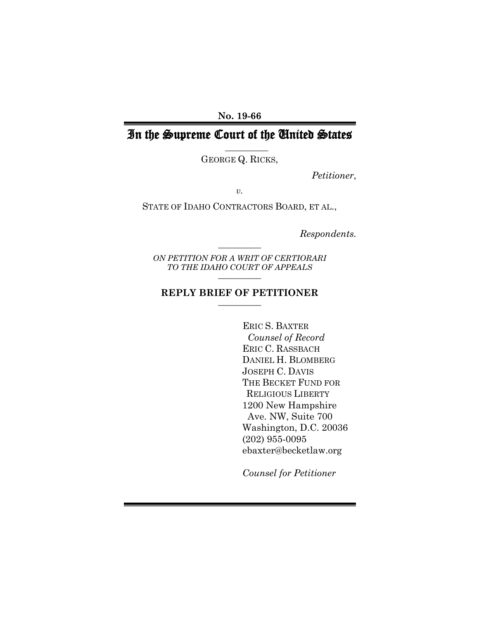**No. 19-66**

# In the Supreme Court of the United States

\_\_\_\_\_\_\_\_\_\_

GEORGE Q. RICKS,

*Petitioner*,

*v.*

STATE OF IDAHO CONTRACTORS BOARD, ET AL.,

*Respondents.*

*ON PETITION FOR A WRIT OF CERTIORARI TO THE IDAHO COURT OF APPEALS*  $\overline{\phantom{a}}$ 

 $\overline{\phantom{a}}$ 

#### **REPLY BRIEF OF PETITIONER**  $\overline{\phantom{a}}$

 ERIC S. BAXTER *Counsel of Record* ERIC C. RASSBACH DANIEL H. BLOMBERG JOSEPH C. DAVIS THE BECKET FUND FOR RELIGIOUS LIBERTY 1200 New Hampshire Ave. NW, Suite 700 Washington, D.C. 20036 (202) 955-0095 ebaxter@becketlaw.org

*Counsel for Petitioner*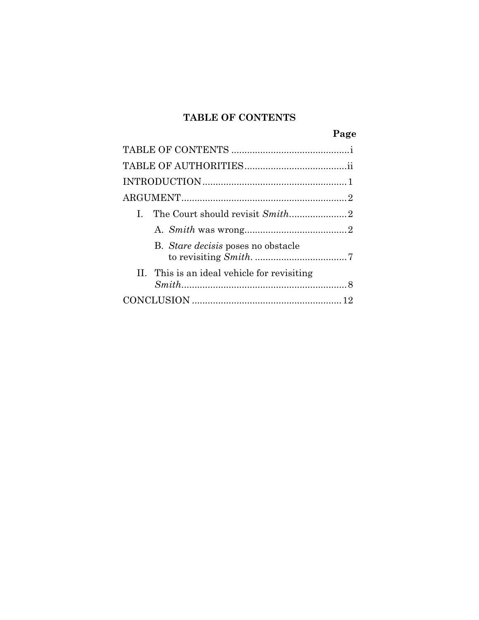## **TABLE OF CONTENTS**

|                                             | Page |
|---------------------------------------------|------|
|                                             |      |
|                                             |      |
|                                             |      |
|                                             |      |
| L                                           |      |
|                                             |      |
| B. Stare decisis poses no obstacle          |      |
| II. This is an ideal vehicle for revisiting |      |
|                                             |      |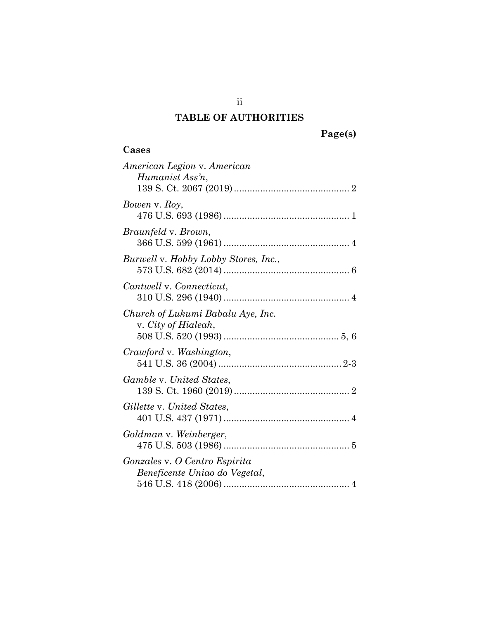# **TABLE OF AUTHORITIES**

# **Page(s)**

# **Cases**

| Cases                                                          |
|----------------------------------------------------------------|
| American Legion v. American<br>Humanist Ass'n,                 |
| Bowen v. Roy,                                                  |
| <i>Braunfeld</i> v. <i>Brown</i> ,                             |
| Burwell v. Hobby Lobby Stores, Inc.,                           |
| Cantwell v. Connecticut,                                       |
| Church of Lukumi Babalu Aye, Inc.<br>v. City of Hialeah,       |
| Crawford v. Washington,                                        |
| <i>Gamble v. United States,</i>                                |
| Gillette v. United States.                                     |
| Goldman v. Weinberger,                                         |
| Gonzales v. O Centro Espirita<br>Beneficente Uniao do Vegetal, |

ii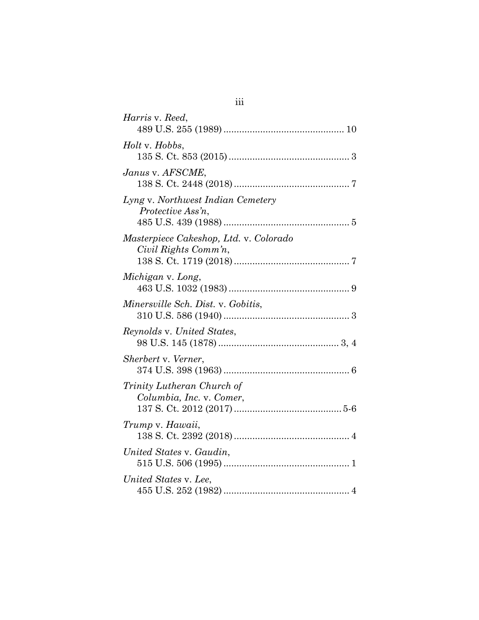| Harris v. Reed,                                                |
|----------------------------------------------------------------|
| <i>Holt</i> v. <i>Hobbs</i> ,                                  |
| Janus v. AFSCME,                                               |
| Lyng v. Northwest Indian Cemetery<br>Protective Ass'n,         |
| Masterpiece Cakeshop, Ltd. v. Colorado<br>Civil Rights Comm'n, |
| Michigan v. Long,                                              |
| Minersville Sch. Dist. v. Gobitis,                             |
| Reynolds v. United States,                                     |
| Sherbert v. Verner,                                            |
| Trinity Lutheran Church of<br>Columbia, Inc. v. Comer,         |
| Trump v. Hawaii,                                               |
| United States v. Gaudin,                                       |
| United States v. Lee,                                          |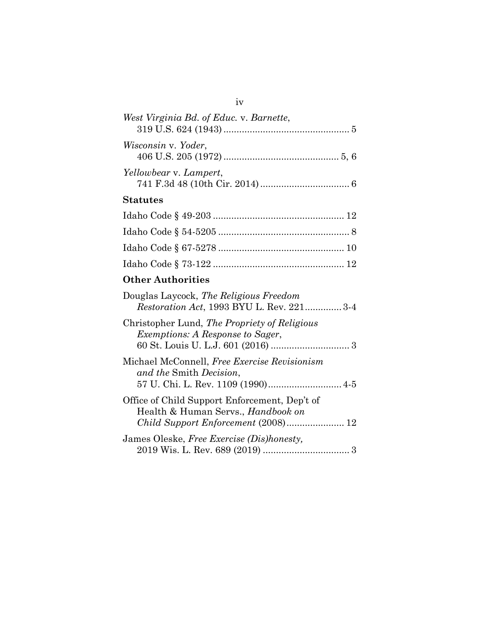| West Virginia Bd. of Educ. v. Barnette, |  |
|-----------------------------------------|--|
| Wisconsin v. Yoder,                     |  |
| Yellowbear v. Lampert,                  |  |
| <b>Statutes</b>                         |  |
| T1 1 0 1 0 10 000                       |  |

# **Other Authorities**

| Douglas Laycock, The Religious Freedom<br><i>Restoration Act, 1993 BYU L. Rev. 221</i> 3-4 |
|--------------------------------------------------------------------------------------------|
| Christopher Lund, The Propriety of Religious<br><i>Exemptions: A Response to Sager,</i>    |
| Michael McConnell, Free Exercise Revisionism<br>and the Smith Decision,                    |
| Office of Child Support Enforcement, Dep't of<br>Health & Human Servs., <i>Handbook on</i> |
| James Oleske, Free Exercise (Dis)honesty,                                                  |

### iv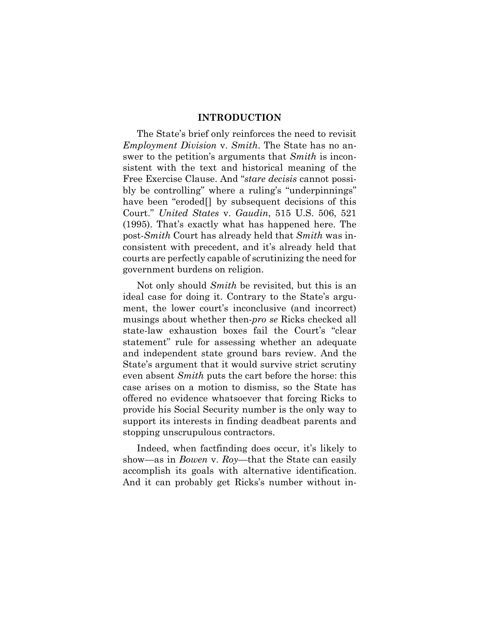#### **INTRODUCTION**

The State's brief only reinforces the need to revisit *Employment Division* v. *Smith*. The State has no answer to the petition's arguments that *Smith* is inconsistent with the text and historical meaning of the Free Exercise Clause. And "*stare decisis* cannot possibly be controlling" where a ruling's "underpinnings" have been "eroded[] by subsequent decisions of this Court." *United States* v. *Gaudin*, 515 U.S. 506, 521 (1995). That's exactly what has happened here. The post-*Smith* Court has already held that *Smith* was inconsistent with precedent, and it's already held that courts are perfectly capable of scrutinizing the need for government burdens on religion.

Not only should *Smith* be revisited, but this is an ideal case for doing it. Contrary to the State's argument, the lower court's inconclusive (and incorrect) musings about whether then-*pro se* Ricks checked all state-law exhaustion boxes fail the Court's "clear statement" rule for assessing whether an adequate and independent state ground bars review. And the State's argument that it would survive strict scrutiny even absent *Smith* puts the cart before the horse: this case arises on a motion to dismiss, so the State has offered no evidence whatsoever that forcing Ricks to provide his Social Security number is the only way to support its interests in finding deadbeat parents and stopping unscrupulous contractors.

Indeed, when factfinding does occur, it's likely to show—as in *Bowen* v. *Roy*—that the State can easily accomplish its goals with alternative identification. And it can probably get Ricks's number without in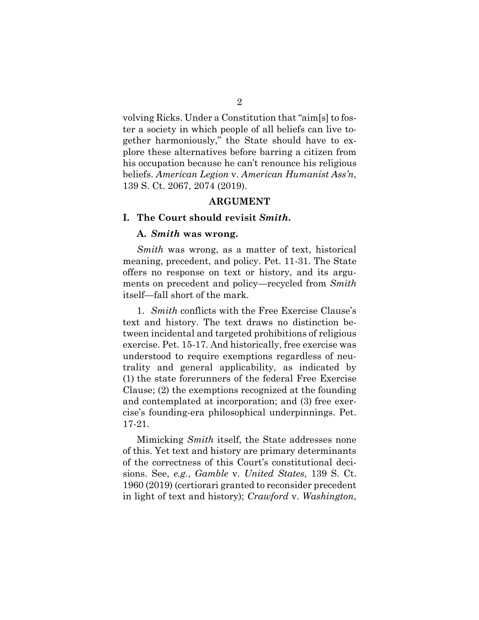volving Ricks. Under a Constitution that "aim[s] to foster a society in which people of all beliefs can live together harmoniously," the State should have to explore these alternatives before barring a citizen from his occupation because he can't renounce his religious beliefs. *American Legion* v. *American Humanist Ass'n*, 139 S. Ct. 2067, 2074 (2019).

#### **ARGUMENT**

#### **I. The Court should revisit** *Smith***.**

#### **A.** *Smith* **was wrong.**

*Smith* was wrong, as a matter of text, historical meaning, precedent, and policy. Pet. 11-31. The State offers no response on text or history, and its arguments on precedent and policy—recycled from *Smith* itself—fall short of the mark.

1. *Smith* conflicts with the Free Exercise Clause's text and history. The text draws no distinction between incidental and targeted prohibitions of religious exercise. Pet. 15-17. And historically, free exercise was understood to require exemptions regardless of neutrality and general applicability, as indicated by (1) the state forerunners of the federal Free Exercise Clause; (2) the exemptions recognized at the founding and contemplated at incorporation; and (3) free exercise's founding-era philosophical underpinnings. Pet. 17-21.

Mimicking *Smith* itself, the State addresses none of this. Yet text and history are primary determinants of the correctness of this Court's constitutional decisions. See, *e.g.*, *Gamble* v. *United States*, 139 S. Ct. 1960 (2019) (certiorari granted to reconsider precedent in light of text and history); *Crawford* v. *Washington*,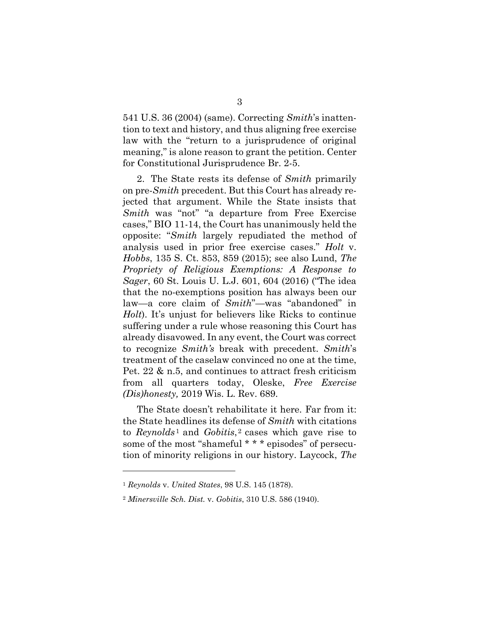541 U.S. 36 (2004) (same). Correcting *Smith*'s inattention to text and history, and thus aligning free exercise law with the "return to a jurisprudence of original meaning," is alone reason to grant the petition. Center for Constitutional Jurisprudence Br. 2-5.

2. The State rests its defense of *Smith* primarily on pre-*Smith* precedent. But this Court has already rejected that argument. While the State insists that *Smith* was "not" "a departure from Free Exercise cases," BIO 11-14, the Court has unanimously held the opposite: "*Smith* largely repudiated the method of analysis used in prior free exercise cases." *Holt* v. *Hobbs*, 135 S. Ct. 853, 859 (2015); see also Lund, *The Propriety of Religious Exemptions: A Response to Sager*, 60 St. Louis U. L.J. 601, 604 (2016) ("The idea that the no-exemptions position has always been our law—a core claim of *Smith*"—was "abandoned" in *Holt*). It's unjust for believers like Ricks to continue suffering under a rule whose reasoning this Court has already disavowed. In any event, the Court was correct to recognize *Smith's* break with precedent. *Smith*'s treatment of the caselaw convinced no one at the time, Pet. 22 & n.5, and continues to attract fresh criticism from all quarters today, Oleske, *Free Exercise (Dis)honesty,* 2019 Wis. L. Rev. 689.

The State doesn't rehabilitate it here. Far from it: the State headlines its defense of *Smith* with citations to *Reynolds*<sup>1</sup> and *Gobitis*<sup>2</sup> cases which gave rise to some of the most "shameful \* \* \* episodes" of persecution of minority religions in our history. Laycock, *The* 

<sup>1</sup> *Reynolds* v. *United States*, 98 U.S. 145 (1878).

<sup>2</sup> *Minersville Sch. Dist.* v. *Gobitis*, 310 U.S. 586 (1940).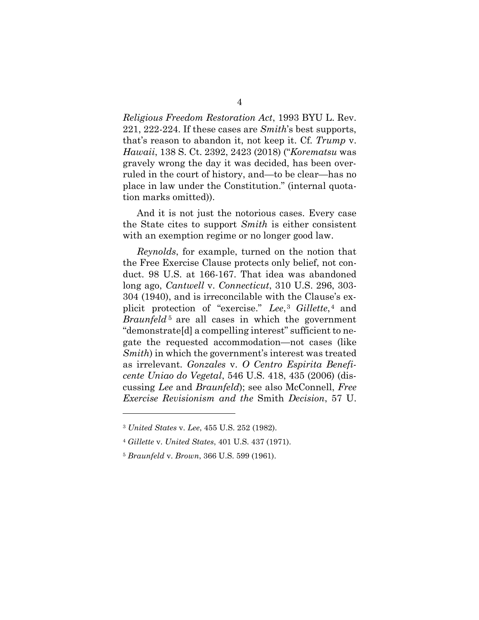*Religious Freedom Restoration Act*, 1993 BYU L. Rev. 221, 222-224. If these cases are *Smith*'s best supports, that's reason to abandon it, not keep it. Cf. *Trump* v. *Hawaii*, 138 S. Ct. 2392, 2423 (2018) ("*Korematsu* was gravely wrong the day it was decided, has been overruled in the court of history, and—to be clear—has no place in law under the Constitution." (internal quotation marks omitted)).

And it is not just the notorious cases. Every case the State cites to support *Smith* is either consistent with an exemption regime or no longer good law.

*Reynolds*, for example, turned on the notion that the Free Exercise Clause protects only belief, not conduct. 98 U.S. at 166-167. That idea was abandoned long ago, *Cantwell* v. *Connecticut*, 310 U.S. 296, 303- 304 (1940), and is irreconcilable with the Clause's explicit protection of "exercise." *Lee*, <sup>3</sup> *Gillette*, <sup>4</sup> and *Braunfeld*<sup>5</sup> are all cases in which the government "demonstrate[d] a compelling interest" sufficient to negate the requested accommodation—not cases (like *Smith*) in which the government's interest was treated as irrelevant. *Gonzales* v. *O Centro Espirita Beneficente Uniao do Vegetal*, 546 U.S. 418, 435 (2006) (discussing *Lee* and *Braunfeld*); see also McConnell, *Free Exercise Revisionism and the* Smith *Decision*, 57 U.

l

<sup>3</sup> *United States* v. *Lee*, 455 U.S. 252 (1982).

<sup>4</sup> *Gillette* v. *United States*, 401 U.S. 437 (1971).

<sup>5</sup> *Braunfeld* v. *Brown*, 366 U.S. 599 (1961).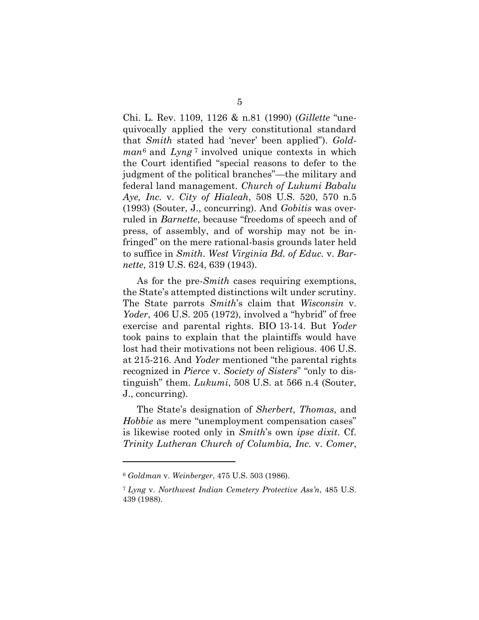Chi. L. Rev. 1109, 1126 & n.81 (1990) (*Gillette* "unequivocally applied the very constitutional standard that *Smith* stated had 'never' been applied"). *Goldman*<sup>6</sup> and *Lyng* <sup>7</sup> involved unique contexts in which the Court identified "special reasons to defer to the judgment of the political branches"—the military and federal land management. *Church of Lukumi Babalu Aye, Inc.* v. *City of Hialeah*, 508 U.S. 520, 570 n.5 (1993) (Souter, J., concurring). And *Gobitis* was overruled in *Barnette*, because "freedoms of speech and of press, of assembly, and of worship may not be infringed" on the mere rational-basis grounds later held to suffice in *Smith*. *West Virginia Bd. of Educ.* v. *Barnette*, 319 U.S. 624, 639 (1943).

As for the pre-*Smith* cases requiring exemptions, the State's attempted distinctions wilt under scrutiny. The State parrots *Smith*'s claim that *Wisconsin* v. *Yoder*, 406 U.S. 205 (1972), involved a "hybrid" of free exercise and parental rights. BIO 13-14. But *Yoder* took pains to explain that the plaintiffs would have lost had their motivations not been religious. 406 U.S. at 215-216. And *Yoder* mentioned "the parental rights recognized in *Pierce* v. *Society of Sisters*" "only to distinguish" them. *Lukumi*, 508 U.S. at 566 n.4 (Souter, J., concurring).

The State's designation of *Sherbert*, *Thomas*, and *Hobbie* as mere "unemployment compensation cases" is likewise rooted only in *Smith*'s own *ipse dixit*. Cf. *Trinity Lutheran Church of Columbia, Inc.* v. *Comer*,

<sup>6</sup> *Goldman* v. *Weinberger*, 475 U.S. 503 (1986).

<sup>7</sup> *Lyng* v. *Northwest Indian Cemetery Protective Ass'n*, 485 U.S. 439 (1988).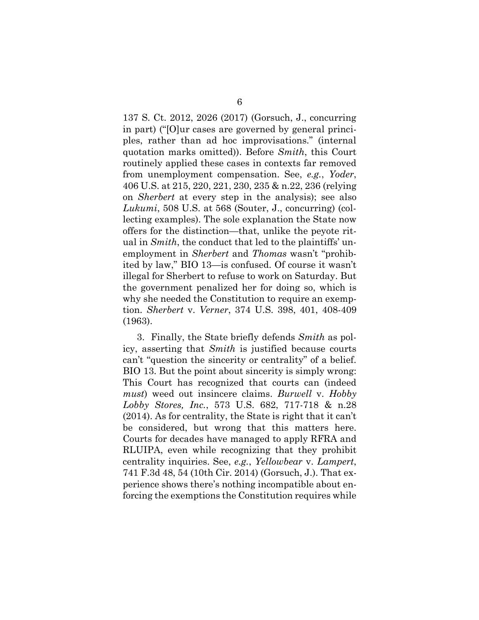137 S. Ct. 2012, 2026 (2017) (Gorsuch, J., concurring in part) ("[O]ur cases are governed by general principles, rather than ad hoc improvisations." (internal quotation marks omitted)). Before *Smith*, this Court routinely applied these cases in contexts far removed from unemployment compensation. See, *e.g.*, *Yoder*, 406 U.S. at 215, 220, 221, 230, 235 & n.22, 236 (relying on *Sherbert* at every step in the analysis); see also *Lukumi*, 508 U.S. at 568 (Souter, J., concurring) (collecting examples). The sole explanation the State now offers for the distinction—that, unlike the peyote ritual in *Smith*, the conduct that led to the plaintiffs' unemployment in *Sherbert* and *Thomas* wasn't "prohibited by law," BIO 13—is confused. Of course it wasn't illegal for Sherbert to refuse to work on Saturday. But the government penalized her for doing so, which is why she needed the Constitution to require an exemption. *Sherbert* v. *Verner*, 374 U.S. 398, 401, 408-409 (1963).

3. Finally, the State briefly defends *Smith* as policy, asserting that *Smith* is justified because courts can't "question the sincerity or centrality" of a belief. BIO 13. But the point about sincerity is simply wrong: This Court has recognized that courts can (indeed *must*) weed out insincere claims. *Burwell* v. *Hobby Lobby Stores, Inc.*, 573 U.S. 682, 717-718 & n.28 (2014). As for centrality, the State is right that it can't be considered, but wrong that this matters here. Courts for decades have managed to apply RFRA and RLUIPA, even while recognizing that they prohibit centrality inquiries. See, *e.g.*, *Yellowbear* v. *Lampert*, 741 F.3d 48, 54 (10th Cir. 2014) (Gorsuch, J.). That experience shows there's nothing incompatible about enforcing the exemptions the Constitution requires while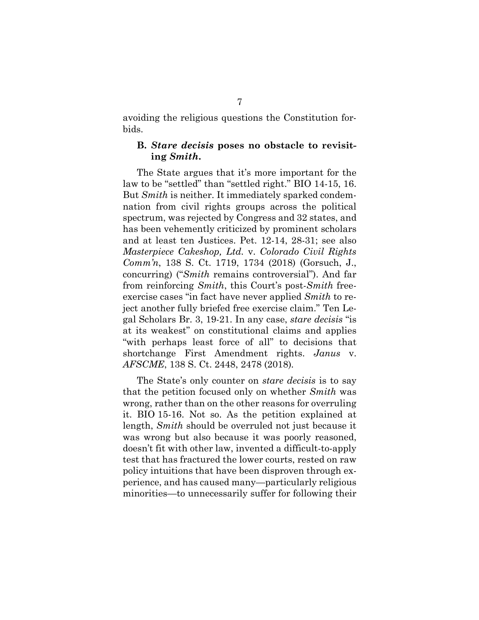avoiding the religious questions the Constitution forbids.

#### **B.** *Stare decisis* **poses no obstacle to revisiting** *Smith***.**

The State argues that it's more important for the law to be "settled" than "settled right." BIO 14-15, 16. But *Smith* is neither. It immediately sparked condemnation from civil rights groups across the political spectrum, was rejected by Congress and 32 states, and has been vehemently criticized by prominent scholars and at least ten Justices. Pet. 12-14, 28-31; see also *Masterpiece Cakeshop, Ltd.* v. *Colorado Civil Rights Comm'n*, 138 S. Ct. 1719, 1734 (2018) (Gorsuch, J., concurring) ("*Smith* remains controversial"). And far from reinforcing *Smith*, this Court's post-*Smith* freeexercise cases "in fact have never applied *Smith* to reject another fully briefed free exercise claim." Ten Legal Scholars Br. 3, 19-21. In any case, *stare decisis* "is at its weakest" on constitutional claims and applies "with perhaps least force of all" to decisions that shortchange First Amendment rights. *Janus* v. *AFSCME*, 138 S. Ct. 2448, 2478 (2018)*.*

The State's only counter on *stare decisis* is to say that the petition focused only on whether *Smith* was wrong, rather than on the other reasons for overruling it. BIO 15-16. Not so. As the petition explained at length, *Smith* should be overruled not just because it was wrong but also because it was poorly reasoned, doesn't fit with other law, invented a difficult-to-apply test that has fractured the lower courts, rested on raw policy intuitions that have been disproven through experience, and has caused many—particularly religious minorities—to unnecessarily suffer for following their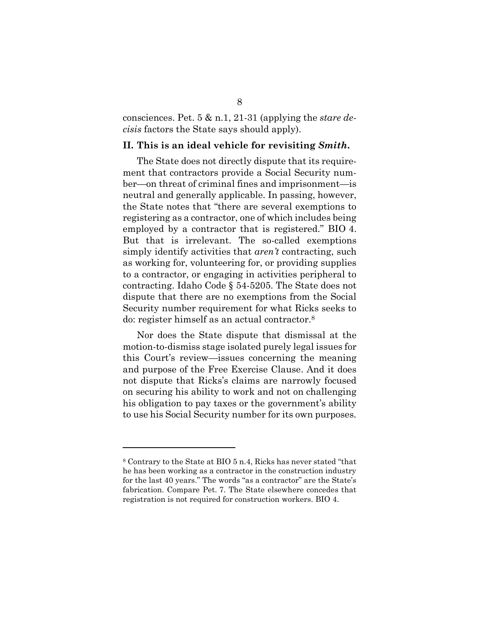consciences. Pet. 5 & n.1, 21-31 (applying the *stare decisis* factors the State says should apply).

#### **II. This is an ideal vehicle for revisiting** *Smith***.**

The State does not directly dispute that its requirement that contractors provide a Social Security number—on threat of criminal fines and imprisonment—is neutral and generally applicable. In passing, however, the State notes that "there are several exemptions to registering as a contractor, one of which includes being employed by a contractor that is registered." BIO 4. But that is irrelevant. The so-called exemptions simply identify activities that *aren't* contracting, such as working for, volunteering for, or providing supplies to a contractor, or engaging in activities peripheral to contracting. Idaho Code § 54-5205. The State does not dispute that there are no exemptions from the Social Security number requirement for what Ricks seeks to do: register himself as an actual contractor.<sup>8</sup>

Nor does the State dispute that dismissal at the motion-to-dismiss stage isolated purely legal issues for this Court's review—issues concerning the meaning and purpose of the Free Exercise Clause. And it does not dispute that Ricks's claims are narrowly focused on securing his ability to work and not on challenging his obligation to pay taxes or the government's ability to use his Social Security number for its own purposes.

<sup>8</sup> Contrary to the State at BIO 5 n.4, Ricks has never stated "that he has been working as a contractor in the construction industry for the last 40 years." The words "as a contractor" are the State's fabrication. Compare Pet. 7. The State elsewhere concedes that registration is not required for construction workers. BIO 4.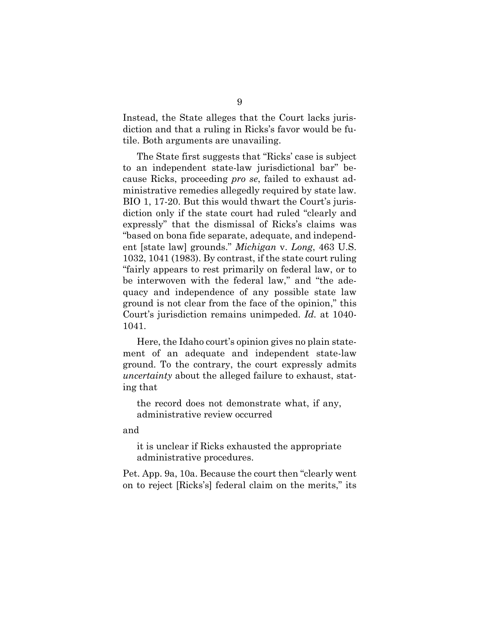Instead, the State alleges that the Court lacks jurisdiction and that a ruling in Ricks's favor would be futile. Both arguments are unavailing.

The State first suggests that "Ricks' case is subject to an independent state-law jurisdictional bar" because Ricks, proceeding *pro se*, failed to exhaust administrative remedies allegedly required by state law. BIO 1, 17-20. But this would thwart the Court's jurisdiction only if the state court had ruled "clearly and expressly" that the dismissal of Ricks's claims was "based on bona fide separate, adequate, and independent [state law] grounds." *Michigan* v. *Long*, 463 U.S. 1032, 1041 (1983). By contrast, if the state court ruling "fairly appears to rest primarily on federal law, or to be interwoven with the federal law," and "the adequacy and independence of any possible state law ground is not clear from the face of the opinion," this Court's jurisdiction remains unimpeded. *Id.* at 1040- 1041.

Here, the Idaho court's opinion gives no plain statement of an adequate and independent state-law ground. To the contrary, the court expressly admits *uncertainty* about the alleged failure to exhaust, stating that

the record does not demonstrate what, if any, administrative review occurred

and

it is unclear if Ricks exhausted the appropriate administrative procedures.

Pet. App. 9a, 10a. Because the court then "clearly went on to reject [Ricks's] federal claim on the merits," its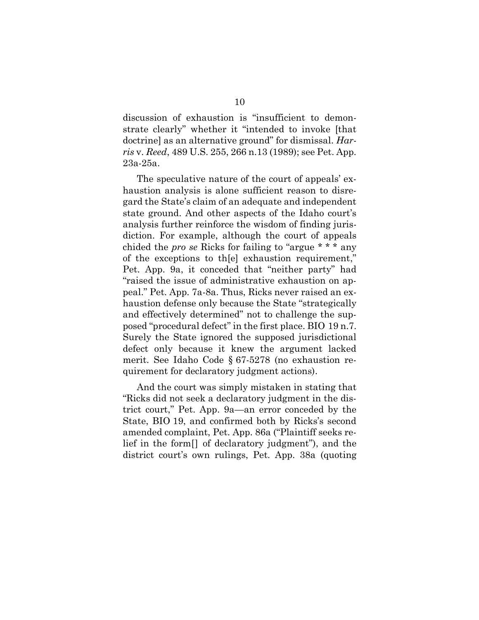discussion of exhaustion is "insufficient to demonstrate clearly" whether it "intended to invoke [that doctrine] as an alternative ground" for dismissal. *Harris* v. *Reed*, 489 U.S. 255, 266 n.13 (1989); see Pet. App. 23a-25a.

The speculative nature of the court of appeals' exhaustion analysis is alone sufficient reason to disregard the State's claim of an adequate and independent state ground. And other aspects of the Idaho court's analysis further reinforce the wisdom of finding jurisdiction. For example, although the court of appeals chided the *pro se* Ricks for failing to "argue \* \* \* any of the exceptions to th[e] exhaustion requirement," Pet. App. 9a, it conceded that "neither party" had "raised the issue of administrative exhaustion on appeal." Pet. App. 7a-8a. Thus, Ricks never raised an exhaustion defense only because the State "strategically and effectively determined" not to challenge the supposed "procedural defect" in the first place. BIO 19 n.7. Surely the State ignored the supposed jurisdictional defect only because it knew the argument lacked merit. See Idaho Code § 67-5278 (no exhaustion requirement for declaratory judgment actions).

And the court was simply mistaken in stating that "Ricks did not seek a declaratory judgment in the district court," Pet. App. 9a—an error conceded by the State, BIO 19, and confirmed both by Ricks's second amended complaint, Pet. App. 86a ("Plaintiff seeks relief in the form[] of declaratory judgment"), and the district court's own rulings, Pet. App. 38a (quoting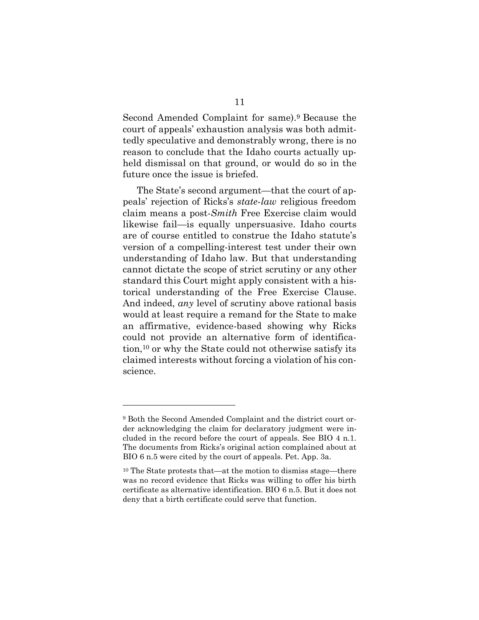Second Amended Complaint for same).<sup>9</sup> Because the court of appeals' exhaustion analysis was both admittedly speculative and demonstrably wrong, there is no reason to conclude that the Idaho courts actually upheld dismissal on that ground, or would do so in the future once the issue is briefed.

The State's second argument—that the court of appeals' rejection of Ricks's *state-law* religious freedom claim means a post-*Smith* Free Exercise claim would likewise fail—is equally unpersuasive. Idaho courts are of course entitled to construe the Idaho statute's version of a compelling-interest test under their own understanding of Idaho law. But that understanding cannot dictate the scope of strict scrutiny or any other standard this Court might apply consistent with a historical understanding of the Free Exercise Clause. And indeed, *any* level of scrutiny above rational basis would at least require a remand for the State to make an affirmative, evidence-based showing why Ricks could not provide an alternative form of identification,<sup>10</sup> or why the State could not otherwise satisfy its claimed interests without forcing a violation of his conscience.

<sup>9</sup> Both the Second Amended Complaint and the district court order acknowledging the claim for declaratory judgment were included in the record before the court of appeals. See BIO 4 n.1. The documents from Ricks's original action complained about at BIO 6 n.5 were cited by the court of appeals. Pet. App. 3a.

<sup>10</sup> The State protests that—at the motion to dismiss stage—there was no record evidence that Ricks was willing to offer his birth certificate as alternative identification. BIO 6 n.5. But it does not deny that a birth certificate could serve that function.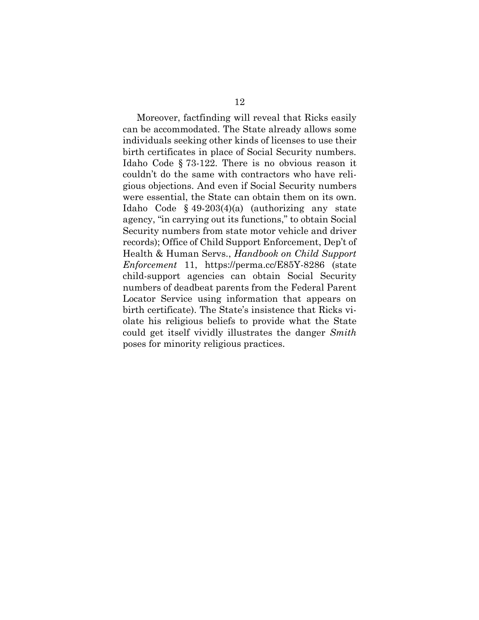Moreover, factfinding will reveal that Ricks easily can be accommodated. The State already allows some individuals seeking other kinds of licenses to use their birth certificates in place of Social Security numbers. Idaho Code § 73-122. There is no obvious reason it couldn't do the same with contractors who have religious objections. And even if Social Security numbers were essential, the State can obtain them on its own. Idaho Code § 49-203(4)(a) (authorizing any state agency, "in carrying out its functions," to obtain Social Security numbers from state motor vehicle and driver records); Office of Child Support Enforcement, Dep't of Health & Human Servs., *Handbook on Child Support Enforcement* 11, https://perma.cc/E85Y-8286 (state child-support agencies can obtain Social Security numbers of deadbeat parents from the Federal Parent Locator Service using information that appears on birth certificate). The State's insistence that Ricks violate his religious beliefs to provide what the State could get itself vividly illustrates the danger *Smith* poses for minority religious practices.